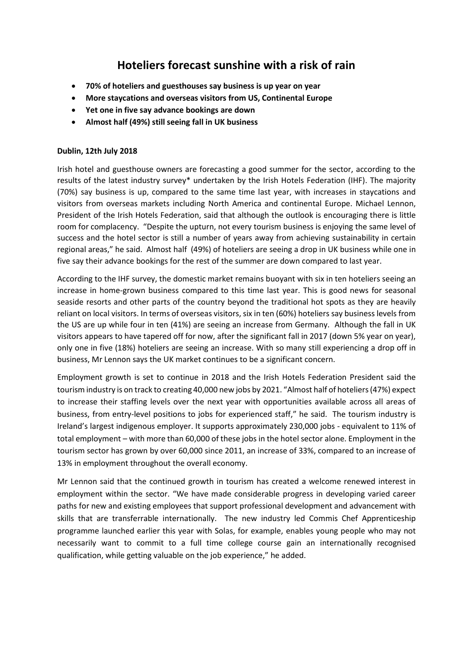## **Hoteliers forecast sunshine with a risk of rain**

- **70% of hoteliers and guesthouses say business is up year on year**
- **More staycations and overseas visitors from US, Continental Europe**
- **Yet one in five say advance bookings are down**
- **Almost half (49%) still seeing fall in UK business**

## **Dublin, 12th July 2018**

Irish hotel and guesthouse owners are forecasting a good summer for the sector, according to the results of the latest industry survey\* undertaken by the Irish Hotels Federation (IHF). The majority (70%) say business is up, compared to the same time last year, with increases in staycations and visitors from overseas markets including North America and continental Europe. Michael Lennon, President of the Irish Hotels Federation, said that although the outlook is encouraging there is little room for complacency. "Despite the upturn, not every tourism business is enjoying the same level of success and the hotel sector is still a number of years away from achieving sustainability in certain regional areas," he said. Almost half (49%) of hoteliers are seeing a drop in UK business while one in five say their advance bookings for the rest of the summer are down compared to last year.

According to the IHF survey, the domestic market remains buoyant with six in ten hoteliers seeing an increase in home-grown business compared to this time last year. This is good news for seasonal seaside resorts and other parts of the country beyond the traditional hot spots as they are heavily reliant on local visitors. In terms of overseas visitors, six in ten (60%) hoteliers say business levels from the US are up while four in ten (41%) are seeing an increase from Germany. Although the fall in UK visitors appears to have tapered off for now, after the significant fall in 2017 (down 5% year on year), only one in five (18%) hoteliers are seeing an increase. With so many still experiencing a drop off in business, Mr Lennon says the UK market continues to be a significant concern.

Employment growth is set to continue in 2018 and the Irish Hotels Federation President said the tourism industry is on track to creating 40,000 new jobs by 2021. "Almost half of hoteliers (47%) expect to increase their staffing levels over the next year with opportunities available across all areas of business, from entry-level positions to jobs for experienced staff," he said. The tourism industry is Ireland's largest indigenous employer. It supports approximately 230,000 jobs - equivalent to 11% of total employment – with more than 60,000 of these jobs in the hotel sector alone. Employment in the tourism sector has grown by over 60,000 since 2011, an increase of 33%, compared to an increase of 13% in employment throughout the overall economy.

Mr Lennon said that the continued growth in tourism has created a welcome renewed interest in employment within the sector. "We have made considerable progress in developing varied career paths for new and existing employees that support professional development and advancement with skills that are transferrable internationally. The new industry led Commis Chef Apprenticeship programme launched earlier this year with Solas, for example, enables young people who may not necessarily want to commit to a full time college course gain an internationally recognised qualification, while getting valuable on the job experience," he added.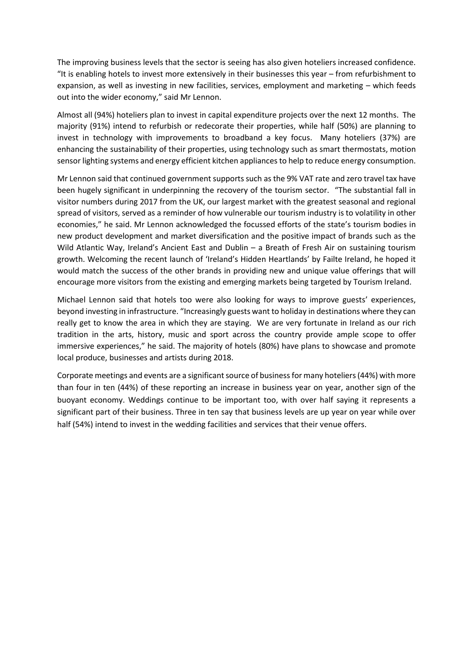The improving business levels that the sector is seeing has also given hoteliers increased confidence. "It is enabling hotels to invest more extensively in their businesses this year – from refurbishment to expansion, as well as investing in new facilities, services, employment and marketing – which feeds out into the wider economy," said Mr Lennon.

Almost all (94%) hoteliers plan to invest in capital expenditure projects over the next 12 months. The majority (91%) intend to refurbish or redecorate their properties, while half (50%) are planning to invest in technology with improvements to broadband a key focus. Many hoteliers (37%) are enhancing the sustainability of their properties, using technology such as smart thermostats, motion sensor lighting systems and energy efficient kitchen appliancesto help to reduce energy consumption.

Mr Lennon said that continued government supports such as the 9% VAT rate and zero travel tax have been hugely significant in underpinning the recovery of the tourism sector. "The substantial fall in visitor numbers during 2017 from the UK, our largest market with the greatest seasonal and regional spread of visitors, served as a reminder of how vulnerable our tourism industry is to volatility in other economies," he said. Mr Lennon acknowledged the focussed efforts of the state's tourism bodies in new product development and market diversification and the positive impact of brands such as the Wild Atlantic Way, Ireland's Ancient East and Dublin – a Breath of Fresh Air on sustaining tourism growth. Welcoming the recent launch of 'Ireland's Hidden Heartlands' by Failte Ireland, he hoped it would match the success of the other brands in providing new and unique value offerings that will encourage more visitors from the existing and emerging markets being targeted by Tourism Ireland.

Michael Lennon said that hotels too were also looking for ways to improve guests' experiences, beyond investing in infrastructure. "Increasingly guests want to holiday in destinations where they can really get to know the area in which they are staying. We are very fortunate in Ireland as our rich tradition in the arts, history, music and sport across the country provide ample scope to offer immersive experiences," he said. The majority of hotels (80%) have plans to showcase and promote local produce, businesses and artists during 2018.

Corporate meetings and events are a significant source of business for many hoteliers (44%) with more than four in ten (44%) of these reporting an increase in business year on year, another sign of the buoyant economy. Weddings continue to be important too, with over half saying it represents a significant part of their business. Three in ten say that business levels are up year on year while over half (54%) intend to invest in the wedding facilities and services that their venue offers.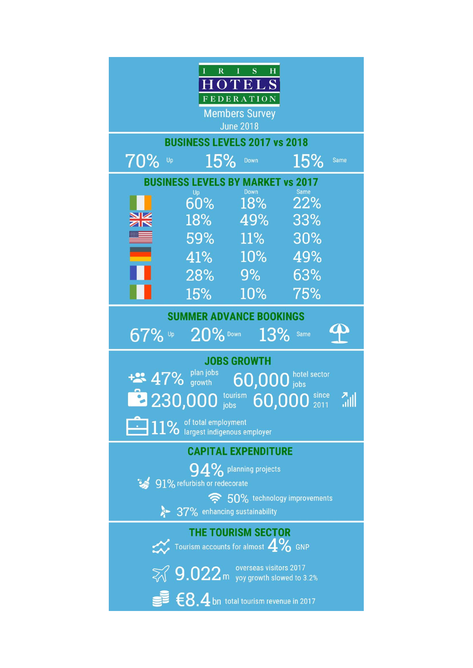| S<br>I<br>$\overline{\mathbf{R}}$<br>$H_{\rm}$<br>I<br>$0$ TELS<br><b>FEDERATION</b><br><b>Members Survey</b><br><b>June 2018</b>                                       |        |            |     |             |
|-------------------------------------------------------------------------------------------------------------------------------------------------------------------------|--------|------------|-----|-------------|
| <b>BUSINESS LEVELS 2017 vs 2018</b>                                                                                                                                     |        |            |     |             |
| 70%<br>Up                                                                                                                                                               | 15%    | Down       | 15% | <b>Same</b> |
| <b>BUSINESS LEVELS BY MARKET vs 2017</b><br>Down<br><b>Same</b><br>Up                                                                                                   |        |            |     |             |
|                                                                                                                                                                         | $60\%$ | 18%        | 22% |             |
|                                                                                                                                                                         | $18\%$ | 49%        | 33% |             |
|                                                                                                                                                                         | $59\%$ | <b>11%</b> | 30% |             |
|                                                                                                                                                                         | $41\%$ | 10%        | 49% |             |
|                                                                                                                                                                         | 28%    | 9%         | 63% |             |
|                                                                                                                                                                         | 15%    | 10%        | 75% |             |
| <b>SUMMER ADVANCE BOOKINGS</b><br>67%<br>20% Down<br>13%<br>Up<br>Same                                                                                                  |        |            |     |             |
| <b>JOBS GROWTH</b><br>plan jobs<br>$60,000$ hotel sector<br>$+2$ 47% growth<br>tourism<br>since<br>2230,000<br>الا<br>60,000<br>2011<br>jobs<br>11% of total employment |        |            |     |             |
| <b>CAPITAL EXPENDITURE</b>                                                                                                                                              |        |            |     |             |
| $94\%$ planning projects<br>91% refurbish or redecorate<br>令 50% technology improvements                                                                                |        |            |     |             |
| 8 37% enhancing sustainability                                                                                                                                          |        |            |     |             |
| <b>THE TOURISM SECTOR</b><br>Tourism accounts for almost $4\%$ GNP                                                                                                      |        |            |     |             |
| $\%$ 9.022 m yoy growth slowed to 3.2%                                                                                                                                  |        |            |     |             |
| $\blacksquare$ $\in$ $8.4$ bn total tourism revenue in 2017                                                                                                             |        |            |     |             |